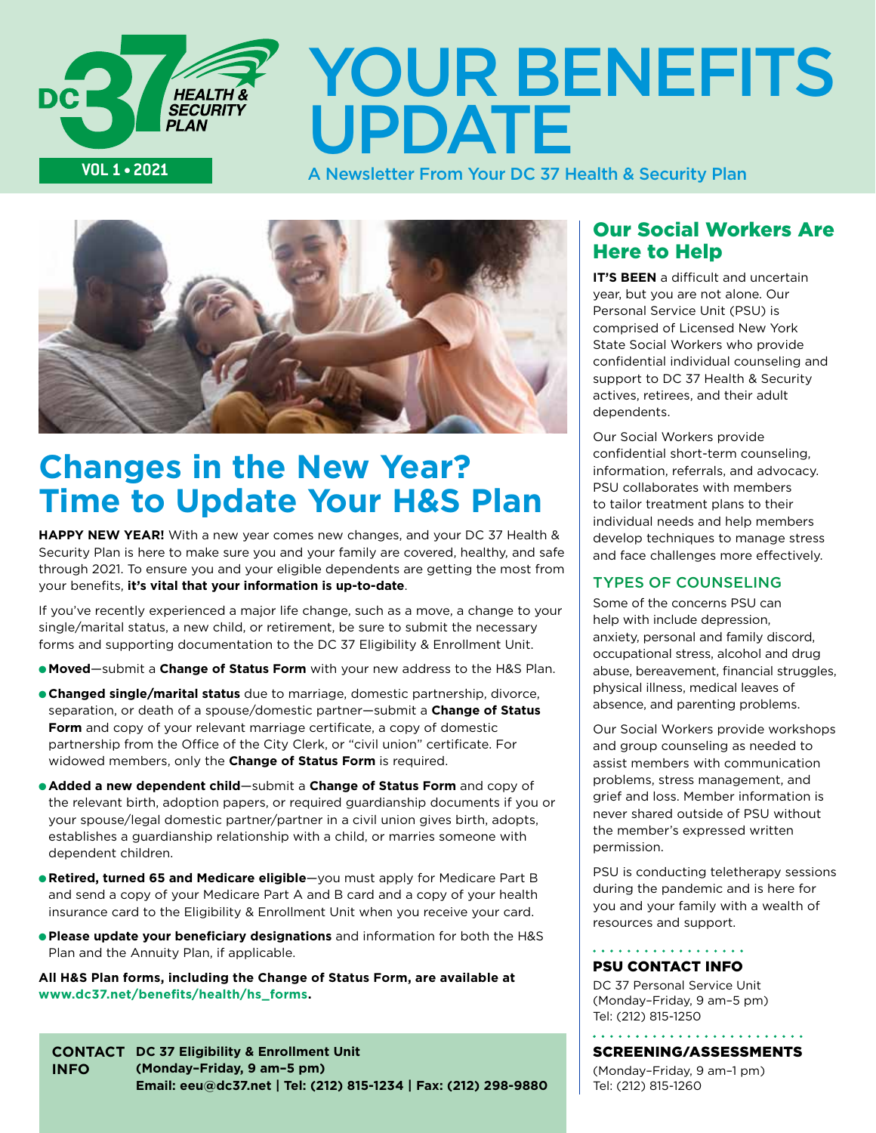

# YOUR BENEFITS UPDATE

A Newsletter From Your DC 37 Health & Security Plan



## **Changes in the New Year? Time to Update Your H&S Plan**

**HAPPY NEW YEAR!** With a new year comes new changes, and your DC 37 Health & Security Plan is here to make sure you and your family are covered, healthy, and safe through 2021. To ensure you and your eligible dependents are getting the most from your benefits, **it's vital that your information is up-to-date**.

If you've recently experienced a major life change, such as a move, a change to your single/marital status, a new child, or retirement, be sure to submit the necessary forms and supporting documentation to the DC 37 Eligibility & Enrollment Unit.

- **Moved**—submit a **Change of Status Form** with your new address to the H&S Plan.
- **Changed single/marital status** due to marriage, domestic partnership, divorce, separation, or death of a spouse/domestic partner—submit a **Change of Status Form** and copy of your relevant marriage certificate, a copy of domestic partnership from the Office of the City Clerk, or "civil union" certificate. For widowed members, only the **Change of Status Form** is required.
- **e Added a new dependent child**—submit a **Change of Status Form** and copy of the relevant birth, adoption papers, or required guardianship documents if you or your spouse/legal domestic partner/partner in a civil union gives birth, adopts, establishes a guardianship relationship with a child, or marries someone with dependent children.
- **Retired, turned 65 and Medicare eligible**—you must apply for Medicare Part B and send a copy of your Medicare Part A and B card and a copy of your health insurance card to the Eligibility & Enrollment Unit when you receive your card.
- **Please update your beneficiary designations** and information for both the H&S Plan and the Annuity Plan, if applicable.

**All H&S Plan forms, including the Change of Status Form, are available at [www.dc37.net/benefits/health/hs\\_forms](http://www.DC37.net/benefits/health/hs_forms).** 

**contact DC 37 Eligibility & Enrollment Unit INFO (Monday–Friday, 9 am–5 pm) Email: [eeu@dc37.net](mailto:eeu%40dc37.net?subject=) | Tel: (212) 815-1234 | Fax: (212) 298-9880**

### Our Social Workers Are Here to Help

**IT'S BEEN** a difficult and uncertain year, but you are not alone. Our Personal Service Unit (PSU) is comprised of Licensed New York State Social Workers who provide confidential individual counseling and support to DC 37 Health & Security actives, retirees, and their adult dependents.

Our Social Workers provide confidential short-term counseling, information, referrals, and advocacy. PSU collaborates with members to tailor treatment plans to their individual needs and help members develop techniques to manage stress and face challenges more effectively.

### TYPES OF COUNSELING

Some of the concerns PSU can help with include depression. anxiety, personal and family discord, occupational stress, alcohol and drug abuse, bereavement, financial struggles, physical illness, medical leaves of absence, and parenting problems.

Our Social Workers provide workshops and group counseling as needed to assist members with communication problems, stress management, and grief and loss. Member information is never shared outside of PSU without the member's expressed written permission.

PSU is conducting teletherapy sessions during the pandemic and is here for you and your family with a wealth of resources and support.

### . . . . . . . . . . . . . . . . . . PSU CONTACT INFO

DC 37 Personal Service Unit (Monday–Friday, 9 am–5 pm) Tel: (212) 815-1250

### Screening/assessments

(Monday–Friday, 9 am–1 pm) Tel: (212) 815-1260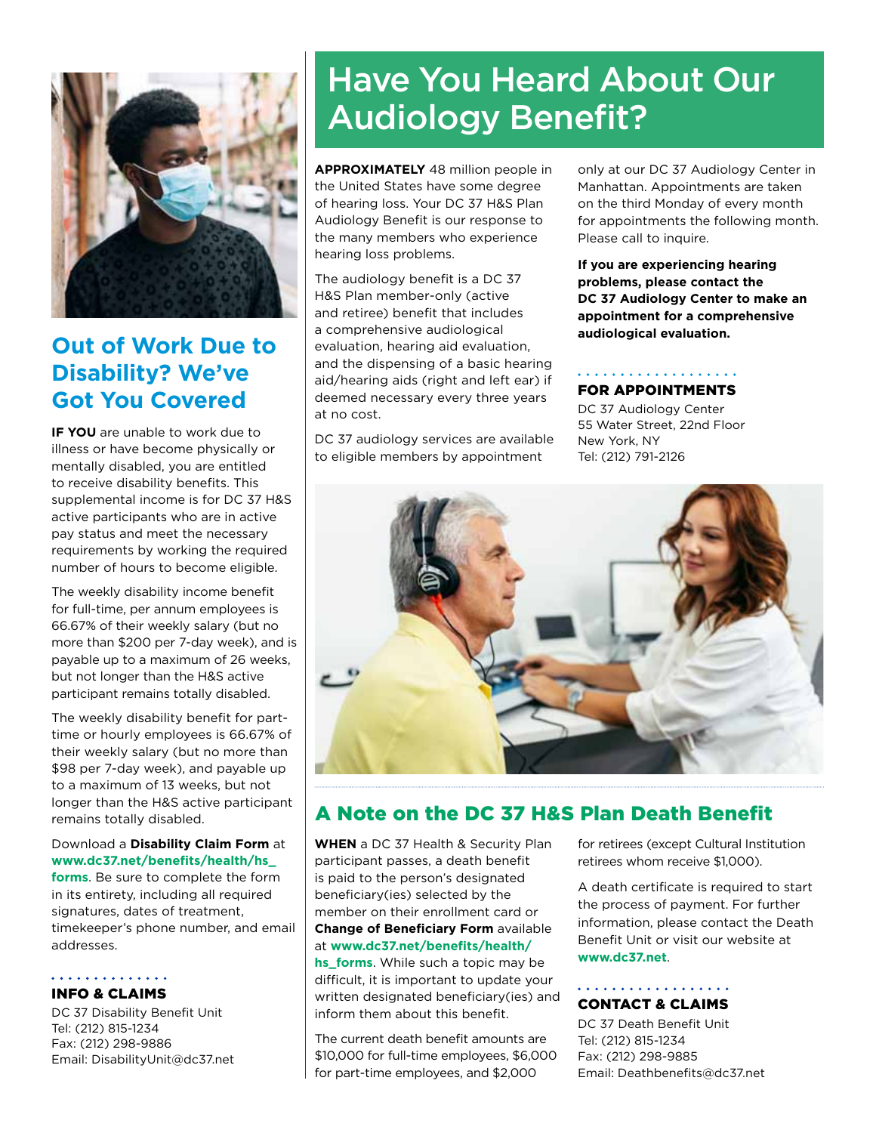

## **Out of Work Due to Disability? We've Got You Covered**

**If you** are unable to work due to illness or have become physically or mentally disabled, you are entitled to receive disability benefits. This supplemental income is for DC 37 H&S active participants who are in active pay status and meet the necessary requirements by working the required number of hours to become eligible.

The weekly disability income benefit for full-time, per annum employees is 66.67% of their weekly salary (but no more than \$200 per 7-day week), and is payable up to a maximum of 26 weeks, but not longer than the H&S active participant remains totally disabled.

The weekly disability benefit for parttime or hourly employees is 66.67% of their weekly salary (but no more than \$98 per 7-day week), and payable up to a maximum of 13 weeks, but not longer than the H&S active participant remains totally disabled.

### Download a **Disability Claim Form** at **[www.dc37.net/benefits/health/hs\\_](http://www.dc37.net/benefits/health/hs_forms)**

**[forms](http://www.dc37.net/benefits/health/hs_forms)**. Be sure to complete the form in its entirety, including all required signatures, dates of treatment, timekeeper's phone number, and email addresses.

### . . . . . . . . . . . . . . INFO & CLAIMS

DC 37 Disability Benefit Unit Tel: (212) 815-1234 Fax: (212) 298-9886 Email: [DisabilityUnit@dc37.net](mailto:DisabilityUnit%40dc37.net?subject=)

## Have You Heard About Our Audiology Benefit?

**Approximately** 48 million people in the United States have some degree of hearing loss. Your DC 37 H&S Plan Audiology Benefit is our response to the many members who experience hearing loss problems.

The audiology benefit is a DC 37 H&S Plan member-only (active and retiree) benefit that includes a comprehensive audiological evaluation, hearing aid evaluation, and the dispensing of a basic hearing aid/hearing aids (right and left ear) if deemed necessary every three years at no cost.

DC 37 audiology services are available to eligible members by appointment

only at our DC 37 Audiology Center in Manhattan. Appointments are taken on the third Monday of every month for appointments the following month. Please call to inquire.

**If you are experiencing hearing problems, please contact the DC 37 Audiology Center to make an appointment for a comprehensive audiological evaluation.**

### . . . . . . . . . . . . FOR APPOINTMENTS

DC 37 Audiology Center 55 Water Street, 22nd Floor New York, NY Tel: (212) 791-2126



## A Note on the DC 37 H&S Plan Death Benefit

**When** a DC 37 Health & Security Plan participant passes, a death benefit is paid to the person's designated beneficiary(ies) selected by the member on their enrollment card or **Change of Beneficiary Form** available at **[www.dc37.net/benefits/health/](http://www.dc37.net/benefits/health/hs_forms)**

**[hs\\_forms](http://www.dc37.net/benefits/health/hs_forms)**. While such a topic may be difficult, it is important to update your written designated beneficiary(ies) and inform them about this benefit.

The current death benefit amounts are \$10,000 for full-time employees, \$6,000 for part-time employees, and \$2,000

for retirees (except Cultural Institution retirees whom receive \$1,000).

A death certificate is required to start the process of payment. For further information, please contact the Death Benefit Unit or visit our website at **[www.dc37.net](http://www.DC37.net)**.

### . . . . . . . . . . . . . . . . . . CONTACT & CLAIMS

DC 37 Death Benefit Unit Tel: (212) 815-1234 Fax: (212) 298-9885 Email: [Deathbenefits@dc37.net](mailto:Deathbenefits%40dc37.net?subject=)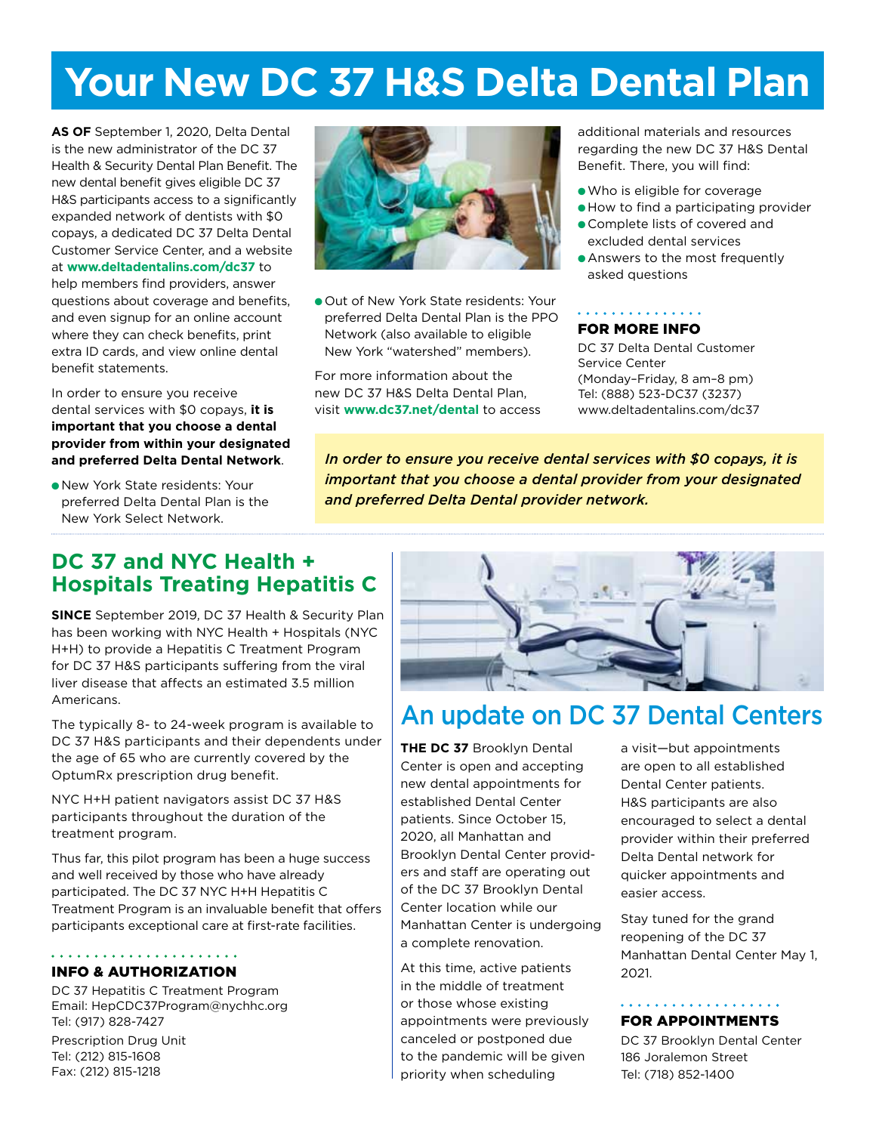## **Your New DC 37 H&S Delta Dental Plan**

**As of** September 1, 2020, Delta Dental is the new administrator of the DC 37 Health & Security Dental Plan Benefit. The new dental benefit gives eligible DC 37 H&S participants access to a significantly expanded network of dentists with \$0 copays, a dedicated DC 37 Delta Dental Customer Service Center, and a website at **[www.deltadentalins.com/dc37](http://www.deltadentalins.com/dc37)** to help members find providers, answer questions about coverage and benefits, and even signup for an online account where they can check benefits, print extra ID cards, and view online dental benefit statements.

In order to ensure you receive dental services with \$0 copays, **it is important that you choose a dental provider from within your designated and preferred Delta Dental Network**.

l New York State residents: Your preferred Delta Dental Plan is the New York Select Network.



**.** Out of New York State residents: Your preferred Delta Dental Plan is the PPO Network (also available to eligible New York "watershed" members).

For more information about the new DC 37 H&S Delta Dental Plan, visit **[www.dc37.net/dental](http://www.dc37.net/dental)** to access additional materials and resources regarding the new DC 37 H&S Dental Benefit. There, you will find:

- lWho is eligible for coverage
- **How to find a participating provider**
- **Complete lists of covered and** excluded dental services
- **Answers to the most frequently** asked questions

### . . . . . . . . . . . . . . . FOR MORE INFO

DC 37 Delta Dental Customer Service Center (Monday–Friday, 8 am–8 pm) Tel: (888) 523-DC37 (3237) [www.deltadentalins.com/dc37](http://www.deltadentalins.com/dc37)

*In order to ensure you receive dental services with \$0 copays, it is important that you choose a dental provider from your designated and preferred Delta Dental provider network.*

## **DC 37 and NYC Health + Hospitals Treating Hepatitis C**

**Since** September 2019, DC 37 Health & Security Plan has been working with NYC Health + Hospitals (NYC H+H) to provide a Hepatitis C Treatment Program for DC 37 H&S participants suffering from the viral liver disease that affects an estimated 3.5 million Americans.

The typically 8- to 24-week program is available to DC 37 H&S participants and their dependents under the age of 65 who are currently covered by the OptumRx prescription drug benefit.

NYC H+H patient navigators assist DC 37 H&S participants throughout the duration of the treatment program.

Thus far, this pilot program has been a huge success and well received by those who have already participated. The DC 37 NYC H+H Hepatitis C Treatment Program is an invaluable benefit that offers participants exceptional care at first-rate facilities.

#### INFO & AUTHORIZATION

DC 37 Hepatitis C Treatment Program Email: [HepCDC37Program@nychhc.org](mailto:HepCDC37Program%40nychhc.org?subject=) Tel: (917) 828-7427

Prescription Drug Unit Tel: (212) 815-1608 Fax: (212) 815-1218



## An update on DC 37 Dental Centers

**The DC 37** Brooklyn Dental Center is open and accepting new dental appointments for established Dental Center patients. Since October 15, 2020, all Manhattan and Brooklyn Dental Center providers and staff are operating out of the DC 37 Brooklyn Dental Center location while our Manhattan Center is undergoing a complete renovation.

At this time, active patients in the middle of treatment or those whose existing appointments were previously canceled or postponed due to the pandemic will be given priority when scheduling

a visit—but appointments are open to all established Dental Center patients. H&S participants are also encouraged to select a dental provider within their preferred Delta Dental network for quicker appointments and easier access.

Stay tuned for the grand reopening of the DC 37 Manhattan Dental Center May 1, 2021.

### . . . . . . . . . . . . . . . . . . . FOR APPOINTMENTS

DC 37 Brooklyn Dental Center 186 Joralemon Street Tel: (718) 852-1400